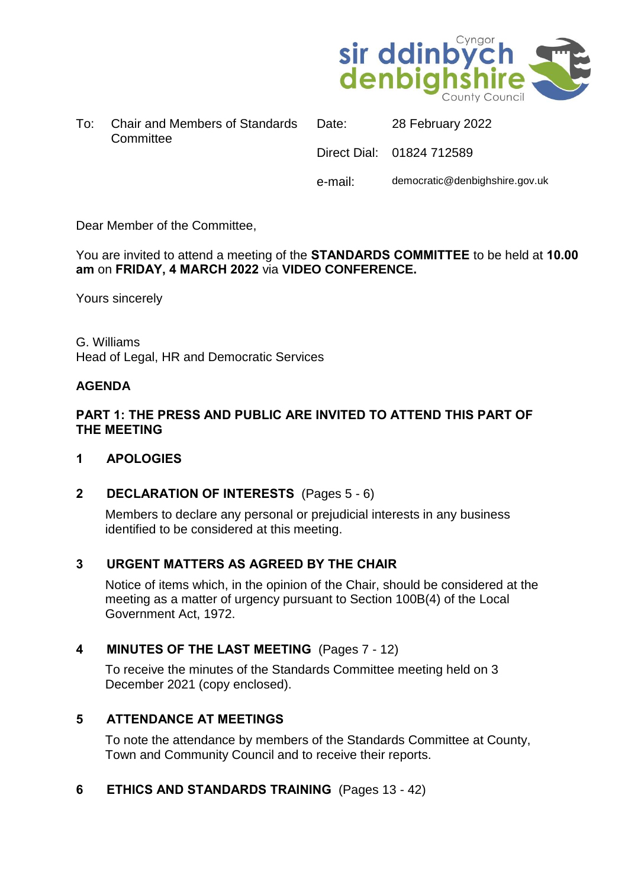

|  | To: Chair and Members of Standards |  |
|--|------------------------------------|--|
|  | Committee                          |  |

Date: 28 February 2022 Direct Dial: 01824 712589 e-mail: democratic@denbighshire.gov.uk

Dear Member of the Committee,

You are invited to attend a meeting of the **STANDARDS COMMITTEE** to be held at **10.00 am** on **FRIDAY, 4 MARCH 2022** via **VIDEO CONFERENCE.**

Yours sincerely

G. Williams Head of Legal, HR and Democratic Services

#### **AGENDA**

#### **PART 1: THE PRESS AND PUBLIC ARE INVITED TO ATTEND THIS PART OF THE MEETING**

#### **1 APOLOGIES**

#### **2 DECLARATION OF INTERESTS** (Pages 5 - 6)

Members to declare any personal or prejudicial interests in any business identified to be considered at this meeting.

#### **3 URGENT MATTERS AS AGREED BY THE CHAIR**

Notice of items which, in the opinion of the Chair, should be considered at the meeting as a matter of urgency pursuant to Section 100B(4) of the Local Government Act, 1972.

#### **4 MINUTES OF THE LAST MEETING** (Pages 7 - 12)

To receive the minutes of the Standards Committee meeting held on 3 December 2021 (copy enclosed).

#### **5 ATTENDANCE AT MEETINGS**

To note the attendance by members of the Standards Committee at County, Town and Community Council and to receive their reports.

#### **6 ETHICS AND STANDARDS TRAINING** (Pages 13 - 42)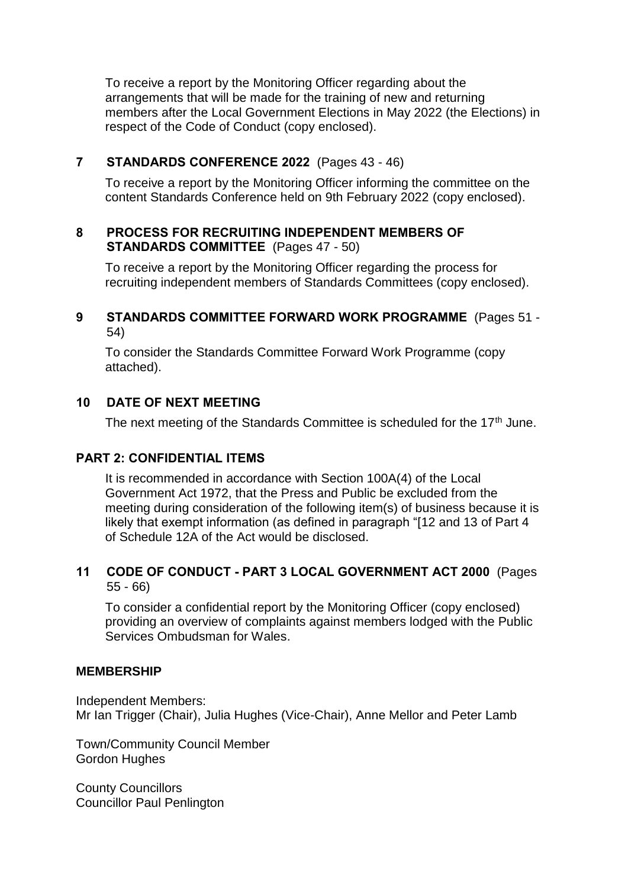To receive a report by the Monitoring Officer regarding about the arrangements that will be made for the training of new and returning members after the Local Government Elections in May 2022 (the Elections) in respect of the Code of Conduct (copy enclosed).

## **7 STANDARDS CONFERENCE 2022** (Pages 43 - 46)

To receive a report by the Monitoring Officer informing the committee on the content Standards Conference held on 9th February 2022 (copy enclosed).

## **8 PROCESS FOR RECRUITING INDEPENDENT MEMBERS OF STANDARDS COMMITTEE** (Pages 47 - 50)

To receive a report by the Monitoring Officer regarding the process for recruiting independent members of Standards Committees (copy enclosed).

## **9 STANDARDS COMMITTEE FORWARD WORK PROGRAMME** (Pages 51 - 54)

To consider the Standards Committee Forward Work Programme (copy attached).

## **10 DATE OF NEXT MEETING**

The next meeting of the Standards Committee is scheduled for the 17<sup>th</sup> June.

#### **PART 2: CONFIDENTIAL ITEMS**

It is recommended in accordance with Section 100A(4) of the Local Government Act 1972, that the Press and Public be excluded from the meeting during consideration of the following item(s) of business because it is likely that exempt information (as defined in paragraph "[12 and 13 of Part 4 of Schedule 12A of the Act would be disclosed.

#### **11 CODE OF CONDUCT - PART 3 LOCAL GOVERNMENT ACT 2000** (Pages 55 - 66)

To consider a confidential report by the Monitoring Officer (copy enclosed) providing an overview of complaints against members lodged with the Public Services Ombudsman for Wales.

#### **MEMBERSHIP**

Independent Members: Mr Ian Trigger (Chair), Julia Hughes (Vice-Chair), Anne Mellor and Peter Lamb

Town/Community Council Member Gordon Hughes

County Councillors Councillor Paul Penlington